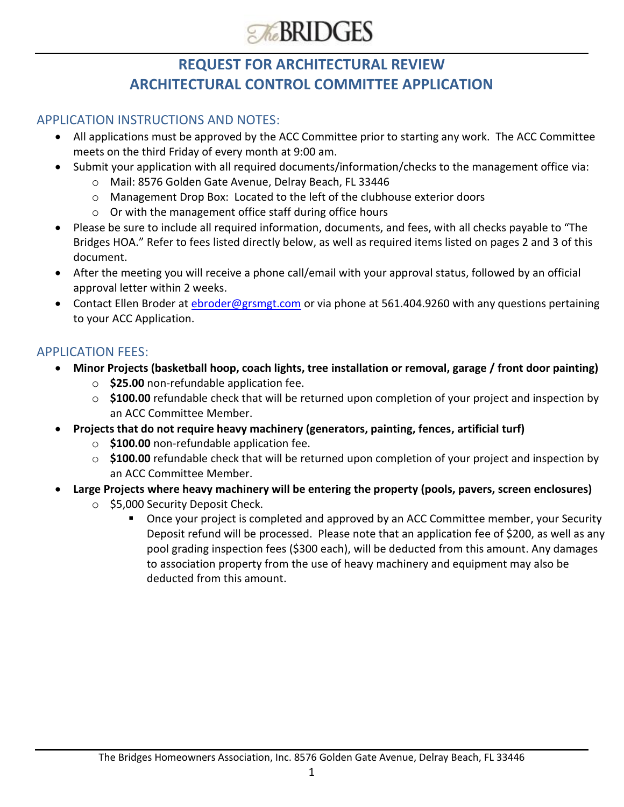

# **REQUEST FOR ARCHITECTURAL REVIEW ARCHITECTURAL CONTROL COMMITTEE APPLICATION**

### APPLICATION INSTRUCTIONS AND NOTES:

- All applications must be approved by the ACC Committee prior to starting any work. The ACC Committee meets on the third Friday of every month at 9:00 am.
- Submit your application with all required documents/information/checks to the management office via:
	- o Mail: 8576 Golden Gate Avenue, Delray Beach, FL 33446
	- o Management Drop Box: Located to the left of the clubhouse exterior doors
	- o Or with the management office staff during office hours
- Please be sure to include all required information, documents, and fees, with all checks payable to "The Bridges HOA." Refer to fees listed directly below, as well as required items listed on pages 2 and 3 of this document.
- After the meeting you will receive a phone call/email with your approval status, followed by an official approval letter within 2 weeks.
- Contact Ellen Broder at [ebroder@grsmgt.com](mailto:ebroder@grsmgt.com) or via phone at 561.404.9260 with any questions pertaining to your ACC Application.

### APPLICATION FEES:

- **Minor Projects (basketball hoop, coach lights, tree installation or removal, garage / front door painting)**
	- o **\$25.00** non-refundable application fee.
	- o **\$100.00** refundable check that will be returned upon completion of your project and inspection by an ACC Committee Member.
- **Projects that do not require heavy machinery (generators, painting, fences, artificial turf)**
	- o **\$100.00** non-refundable application fee.
	- o **\$100.00** refundable check that will be returned upon completion of your project and inspection by an ACC Committee Member.
- **Large Projects where heavy machinery will be entering the property (pools, pavers, screen enclosures)**
	- o \$5,000 Security Deposit Check.
		- Once your project is completed and approved by an ACC Committee member, your Security Deposit refund will be processed. Please note that an application fee of \$200, as well as any pool grading inspection fees (\$300 each), will be deducted from this amount. Any damages to association property from the use of heavy machinery and equipment may also be deducted from this amount.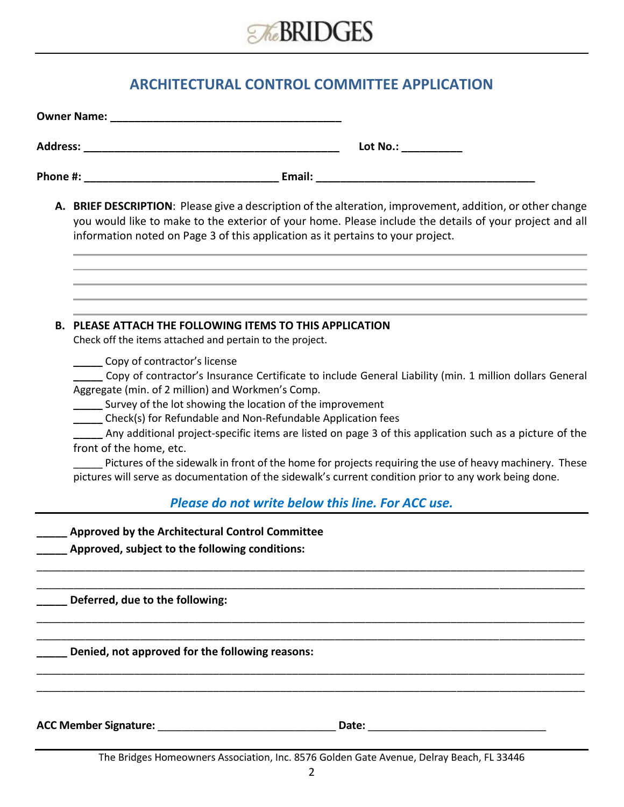

### **ARCHITECTURAL CONTROL COMMITTEE APPLICATION**

| Lot No.: ___________                                                                                                                                                                                                                                                                                                                                                                                                                                                                                                                                                                                                                                                                          |
|-----------------------------------------------------------------------------------------------------------------------------------------------------------------------------------------------------------------------------------------------------------------------------------------------------------------------------------------------------------------------------------------------------------------------------------------------------------------------------------------------------------------------------------------------------------------------------------------------------------------------------------------------------------------------------------------------|
|                                                                                                                                                                                                                                                                                                                                                                                                                                                                                                                                                                                                                                                                                               |
| A. BRIEF DESCRIPTION: Please give a description of the alteration, improvement, addition, or other change<br>you would like to make to the exterior of your home. Please include the details of your project and all<br>information noted on Page 3 of this application as it pertains to your project.                                                                                                                                                                                                                                                                                                                                                                                       |
| <b>B. PLEASE ATTACH THE FOLLOWING ITEMS TO THIS APPLICATION</b><br>Check off the items attached and pertain to the project.                                                                                                                                                                                                                                                                                                                                                                                                                                                                                                                                                                   |
| Copy of contractor's license<br>Copy of contractor's Insurance Certificate to include General Liability (min. 1 million dollars General<br>Aggregate (min. of 2 million) and Workmen's Comp.<br>____ Survey of the lot showing the location of the improvement<br>_____ Check(s) for Refundable and Non-Refundable Application fees<br>Any additional project-specific items are listed on page 3 of this application such as a picture of the<br>front of the home, etc.<br>Pictures of the sidewalk in front of the home for projects requiring the use of heavy machinery. These<br>pictures will serve as documentation of the sidewalk's current condition prior to any work being done. |
| Please do not write below this line. For ACC use.                                                                                                                                                                                                                                                                                                                                                                                                                                                                                                                                                                                                                                             |
| Approved by the Architectural Control Committee<br>Approved, subject to the following conditions:                                                                                                                                                                                                                                                                                                                                                                                                                                                                                                                                                                                             |
| Deferred, due to the following:                                                                                                                                                                                                                                                                                                                                                                                                                                                                                                                                                                                                                                                               |
| Denied, not approved for the following reasons:                                                                                                                                                                                                                                                                                                                                                                                                                                                                                                                                                                                                                                               |
| ACC Member Signature: Management Control of the Member Signature:                                                                                                                                                                                                                                                                                                                                                                                                                                                                                                                                                                                                                             |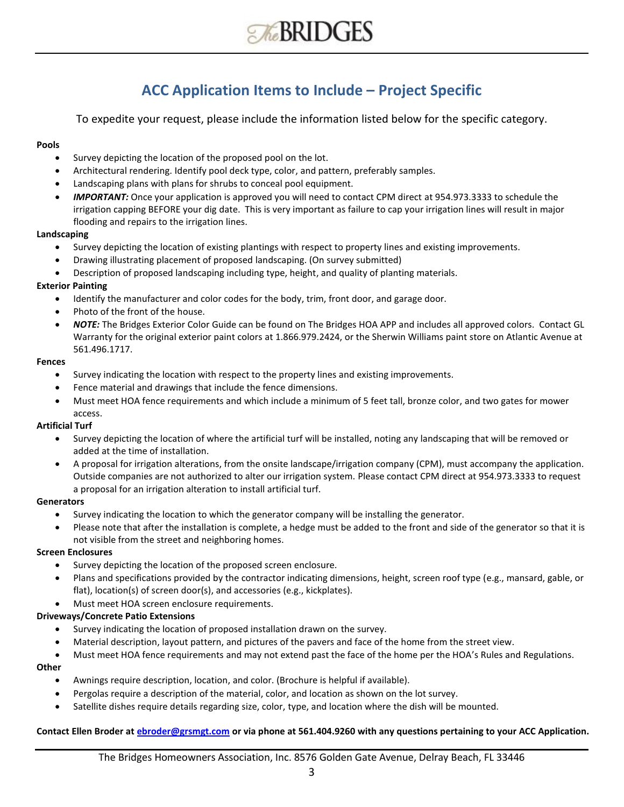

### **ACC Application Items to Include – Project Specific**

To expedite your request, please include the information listed below for the specific category.

#### **Pools**

- Survey depicting the location of the proposed pool on the lot.
- Architectural rendering. Identify pool deck type, color, and pattern, preferably samples.
- Landscaping plans with plans for shrubs to conceal pool equipment.
- *IMPORTANT:* Once your application is approved you will need to contact CPM direct at 954.973.3333 to schedule the irrigation capping BEFORE your dig date. This is very important as failure to cap your irrigation lines will result in major flooding and repairs to the irrigation lines.

#### **Landscaping**

- Survey depicting the location of existing plantings with respect to property lines and existing improvements.
- Drawing illustrating placement of proposed landscaping. (On survey submitted)
- Description of proposed landscaping including type, height, and quality of planting materials.

#### **Exterior Painting**

- Identify the manufacturer and color codes for the body, trim, front door, and garage door.
- Photo of the front of the house.
- *NOTE:* The Bridges Exterior Color Guide can be found on The Bridges HOA APP and includes all approved colors. Contact GL Warranty for the original exterior paint colors at 1.866.979.2424, or the Sherwin Williams paint store on Atlantic Avenue at 561.496.1717.

#### **Fences**

- Survey indicating the location with respect to the property lines and existing improvements.
- Fence material and drawings that include the fence dimensions.
- Must meet HOA fence requirements and which include a minimum of 5 feet tall, bronze color, and two gates for mower access.

#### **Artificial Turf**

- Survey depicting the location of where the artificial turf will be installed, noting any landscaping that will be removed or added at the time of installation.
- A proposal for irrigation alterations, from the onsite landscape/irrigation company (CPM), must accompany the application. Outside companies are not authorized to alter our irrigation system. Please contact CPM direct at 954.973.3333 to request a proposal for an irrigation alteration to install artificial turf.

#### **Generators**

- Survey indicating the location to which the generator company will be installing the generator.
- Please note that after the installation is complete, a hedge must be added to the front and side of the generator so that it is not visible from the street and neighboring homes.

#### **Screen Enclosures**

- Survey depicting the location of the proposed screen enclosure.
- Plans and specifications provided by the contractor indicating dimensions, height, screen roof type (e.g., mansard, gable, or flat), location(s) of screen door(s), and accessories (e.g., kickplates).
- Must meet HOA screen enclosure requirements.

#### **Driveways/Concrete Patio Extensions**

- Survey indicating the location of proposed installation drawn on the survey.
- Material description, layout pattern, and pictures of the pavers and face of the home from the street view.
- Must meet HOA fence requirements and may not extend past the face of the home per the HOA's Rules and Regulations.

#### **Other**

- Awnings require description, location, and color. (Brochure is helpful if available).
- Pergolas require a description of the material, color, and location as shown on the lot survey.
- Satellite dishes require details regarding size, color, type, and location where the dish will be mounted.

#### **Contact Ellen Broder at [ebroder@grsmgt.com](mailto:ebroder@grsmgt.com) or via phone at 561.404.9260 with any questions pertaining to your ACC Application.**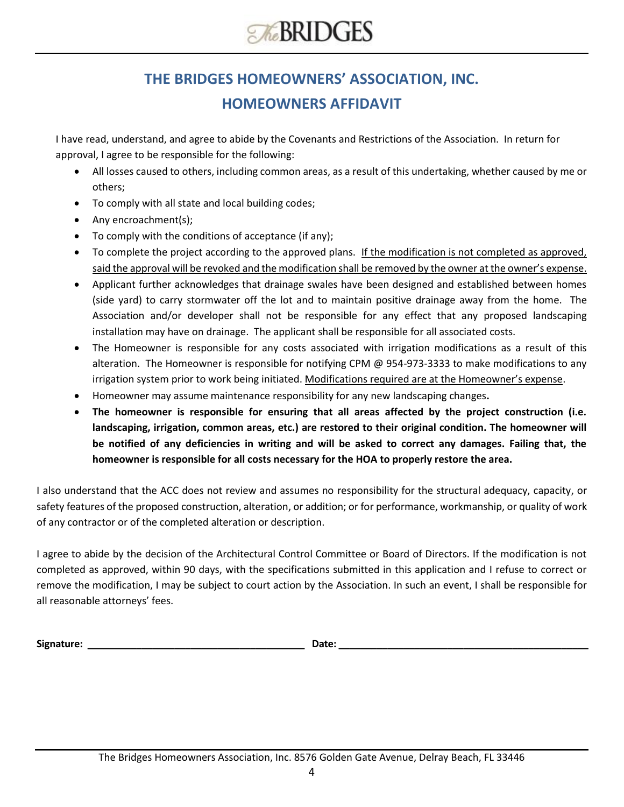# **THE BRIDGES HOMEOWNERS' ASSOCIATION, INC. HOMEOWNERS AFFIDAVIT**

I have read, understand, and agree to abide by the Covenants and Restrictions of the Association. In return for approval, I agree to be responsible for the following:

- All losses caused to others, including common areas, as a result of this undertaking, whether caused by me or others;
- To comply with all state and local building codes;
- Any encroachment(s);
- To comply with the conditions of acceptance (if any);
- To complete the project according to the approved plans. If the modification is not completed as approved, said the approval will be revoked and the modification shall be removed by the owner at the owner's expense.
- Applicant further acknowledges that drainage swales have been designed and established between homes (side yard) to carry stormwater off the lot and to maintain positive drainage away from the home. The Association and/or developer shall not be responsible for any effect that any proposed landscaping installation may have on drainage. The applicant shall be responsible for all associated costs.
- The Homeowner is responsible for any costs associated with irrigation modifications as a result of this alteration. The Homeowner is responsible for notifying CPM @ 954-973-3333 to make modifications to any irrigation system prior to work being initiated. Modifications required are at the Homeowner's expense.
- Homeowner may assume maintenance responsibility for any new landscaping changes**.**
- **The homeowner is responsible for ensuring that all areas affected by the project construction (i.e. landscaping, irrigation, common areas, etc.) are restored to their original condition. The homeowner will be notified of any deficiencies in writing and will be asked to correct any damages. Failing that, the homeowner is responsible for all costs necessary for the HOA to properly restore the area.**

I also understand that the ACC does not review and assumes no responsibility for the structural adequacy, capacity, or safety features of the proposed construction, alteration, or addition; or for performance, workmanship, or quality of work of any contractor or of the completed alteration or description.

I agree to abide by the decision of the Architectural Control Committee or Board of Directors. If the modification is not completed as approved, within 90 days, with the specifications submitted in this application and I refuse to correct or remove the modification, I may be subject to court action by the Association. In such an event, I shall be responsible for all reasonable attorneys' fees.

**Signature: \_\_\_\_\_\_\_\_\_\_\_\_\_\_\_\_\_\_\_\_\_\_\_\_\_\_\_\_\_\_\_\_\_\_\_\_\_\_\_\_ Date: \_\_\_\_\_\_\_\_\_\_\_\_\_\_\_\_\_\_\_\_\_\_\_\_\_\_\_\_\_\_\_\_\_\_\_\_\_\_\_\_\_\_\_\_\_\_**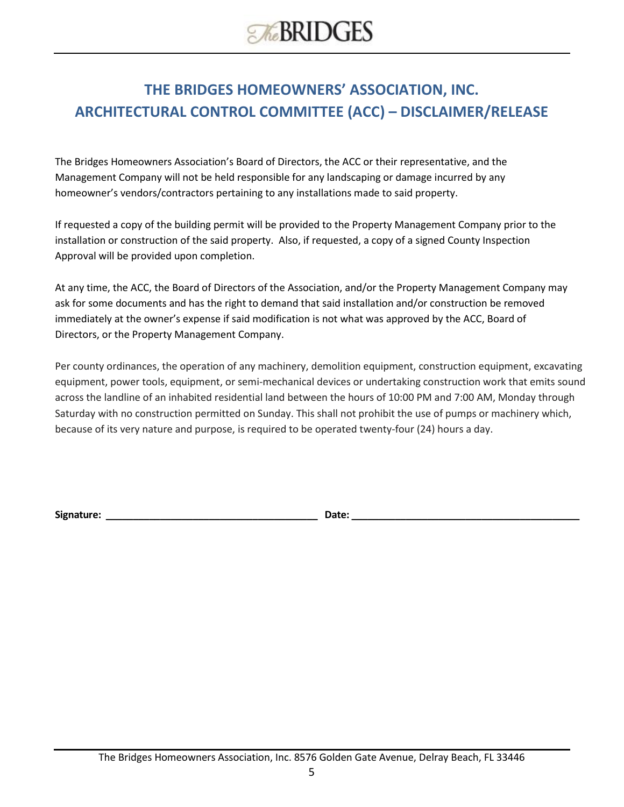# **THE BRIDGES HOMEOWNERS' ASSOCIATION, INC. ARCHITECTURAL CONTROL COMMITTEE (ACC) – DISCLAIMER/RELEASE**

The Bridges Homeowners Association's Board of Directors, the ACC or their representative, and the Management Company will not be held responsible for any landscaping or damage incurred by any homeowner's vendors/contractors pertaining to any installations made to said property.

If requested a copy of the building permit will be provided to the Property Management Company prior to the installation or construction of the said property. Also, if requested, a copy of a signed County Inspection Approval will be provided upon completion.

At any time, the ACC, the Board of Directors of the Association, and/or the Property Management Company may ask for some documents and has the right to demand that said installation and/or construction be removed immediately at the owner's expense if said modification is not what was approved by the ACC, Board of Directors, or the Property Management Company.

Per county ordinances, the operation of any machinery, demolition equipment, construction equipment, excavating equipment, power tools, equipment, or semi-mechanical devices or undertaking construction work that emits sound across the landline of an inhabited residential land between the hours of 10:00 PM and 7:00 AM, Monday through Saturday with no construction permitted on Sunday. This shall not prohibit the use of pumps or machinery which, because of its very nature and purpose, is required to be operated twenty-four (24) hours a day.

**Signature: \_\_\_\_\_\_\_\_\_\_\_\_\_\_\_\_\_\_\_\_\_\_\_\_\_\_\_\_\_\_\_\_\_\_\_\_\_\_\_ Date: \_\_\_\_\_\_\_\_\_\_\_\_\_\_\_\_\_\_\_\_\_\_\_\_\_\_\_\_\_\_\_\_\_\_\_\_\_\_\_\_\_\_**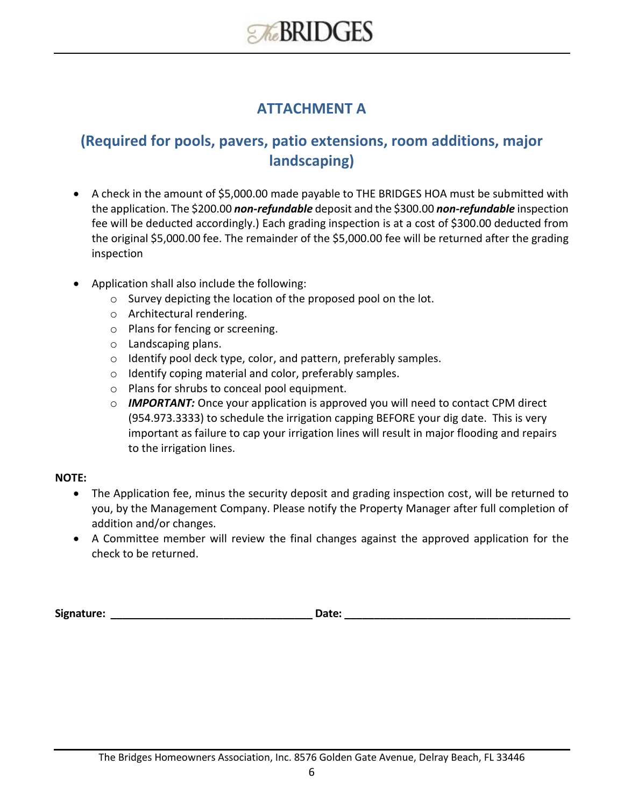### **ATTACHMENT A**

# **(Required for pools, pavers, patio extensions, room additions, major landscaping)**

- A check in the amount of \$5,000.00 made payable to THE BRIDGES HOA must be submitted with the application. The \$200.00 *non-refundable* deposit and the \$300.00 *non-refundable* inspection fee will be deducted accordingly.) Each grading inspection is at a cost of \$300.00 deducted from the original \$5,000.00 fee. The remainder of the \$5,000.00 fee will be returned after the grading inspection
- Application shall also include the following:
	- o Survey depicting the location of the proposed pool on the lot.
	- o Architectural rendering.
	- o Plans for fencing or screening.
	- o Landscaping plans.
	- o Identify pool deck type, color, and pattern, preferably samples.
	- o Identify coping material and color, preferably samples.
	- o Plans for shrubs to conceal pool equipment.
	- o *IMPORTANT:* Once your application is approved you will need to contact CPM direct (954.973.3333) to schedule the irrigation capping BEFORE your dig date. This is very important as failure to cap your irrigation lines will result in major flooding and repairs to the irrigation lines.

### **NOTE:**

- The Application fee, minus the security deposit and grading inspection cost, will be returned to you, by the Management Company. Please notify the Property Manager after full completion of addition and/or changes.
- A Committee member will review the final changes against the approved application for the check to be returned.

**Signature: \_\_\_\_\_\_\_\_\_\_\_\_\_\_\_\_\_\_\_\_\_\_\_\_\_\_\_\_\_\_\_\_\_\_ Date: \_\_\_\_\_\_\_\_\_\_\_\_\_\_\_\_\_\_\_\_\_\_\_\_\_\_\_\_\_\_\_\_\_\_\_\_\_\_**